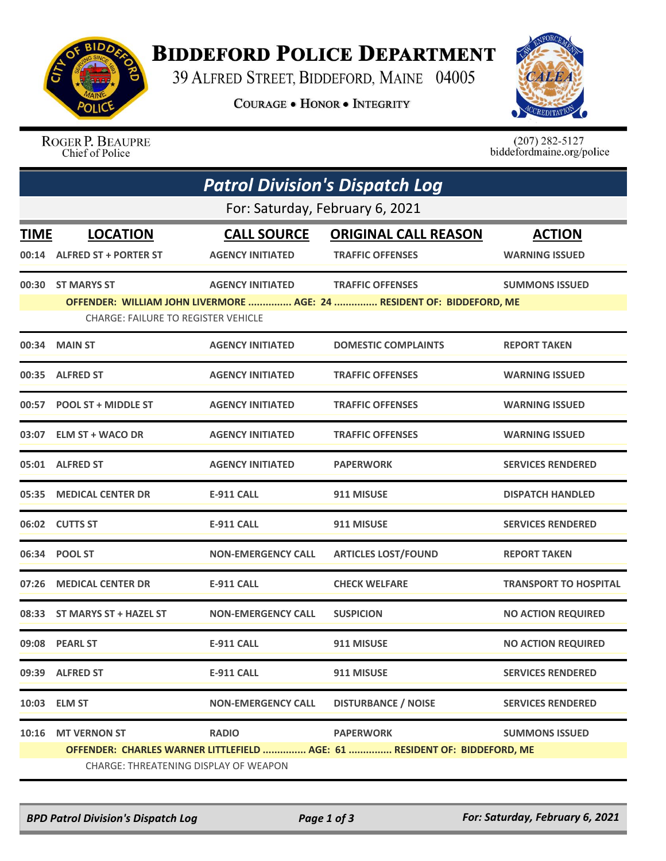

## **BIDDEFORD POLICE DEPARTMENT**

39 ALFRED STREET, BIDDEFORD, MAINE 04005

**COURAGE . HONOR . INTEGRITY** 



ROGER P. BEAUPRE Chief of Police

 $(207)$  282-5127<br>biddefordmaine.org/police

| <b>Patrol Division's Dispatch Log</b>                                     |                                            |                           |                                                                       |                              |  |  |  |
|---------------------------------------------------------------------------|--------------------------------------------|---------------------------|-----------------------------------------------------------------------|------------------------------|--|--|--|
| For: Saturday, February 6, 2021                                           |                                            |                           |                                                                       |                              |  |  |  |
| <b>TIME</b>                                                               | <b>LOCATION</b>                            | <b>CALL SOURCE</b>        | <b>ORIGINAL CALL REASON</b>                                           | <b>ACTION</b>                |  |  |  |
|                                                                           | 00:14 ALFRED ST + PORTER ST                | <b>AGENCY INITIATED</b>   | <b>TRAFFIC OFFENSES</b>                                               | <b>WARNING ISSUED</b>        |  |  |  |
|                                                                           | 00:30 ST MARYS ST                          | <b>AGENCY INITIATED</b>   | <b>TRAFFIC OFFENSES</b>                                               | <b>SUMMONS ISSUED</b>        |  |  |  |
|                                                                           | <b>CHARGE: FAILURE TO REGISTER VEHICLE</b> |                           | OFFENDER: WILLIAM JOHN LIVERMORE  AGE: 24  RESIDENT OF: BIDDEFORD, ME |                              |  |  |  |
|                                                                           | 00:34 MAIN ST                              | <b>AGENCY INITIATED</b>   | <b>DOMESTIC COMPLAINTS</b>                                            | <b>REPORT TAKEN</b>          |  |  |  |
|                                                                           | 00:35 ALFRED ST                            | <b>AGENCY INITIATED</b>   | <b>TRAFFIC OFFENSES</b>                                               | <b>WARNING ISSUED</b>        |  |  |  |
| 00:57                                                                     | <b>POOL ST + MIDDLE ST</b>                 | <b>AGENCY INITIATED</b>   | <b>TRAFFIC OFFENSES</b>                                               | <b>WARNING ISSUED</b>        |  |  |  |
|                                                                           | 03:07 ELM ST + WACO DR                     | <b>AGENCY INITIATED</b>   | <b>TRAFFIC OFFENSES</b>                                               | <b>WARNING ISSUED</b>        |  |  |  |
|                                                                           | 05:01 ALFRED ST                            | <b>AGENCY INITIATED</b>   | <b>PAPERWORK</b>                                                      | <b>SERVICES RENDERED</b>     |  |  |  |
|                                                                           | 05:35 MEDICAL CENTER DR                    | <b>E-911 CALL</b>         | 911 MISUSE                                                            | <b>DISPATCH HANDLED</b>      |  |  |  |
|                                                                           | 06:02 CUTTS ST                             | <b>E-911 CALL</b>         | 911 MISUSE                                                            | <b>SERVICES RENDERED</b>     |  |  |  |
|                                                                           | 06:34 POOL ST                              | <b>NON-EMERGENCY CALL</b> | <b>ARTICLES LOST/FOUND</b>                                            | <b>REPORT TAKEN</b>          |  |  |  |
| 07:26                                                                     | <b>MEDICAL CENTER DR</b>                   | <b>E-911 CALL</b>         | <b>CHECK WELFARE</b>                                                  | <b>TRANSPORT TO HOSPITAL</b> |  |  |  |
| 08:33                                                                     | ST MARYS ST + HAZEL ST                     | <b>NON-EMERGENCY CALL</b> | <b>SUSPICION</b>                                                      | <b>NO ACTION REQUIRED</b>    |  |  |  |
|                                                                           | 09:08 PEARL ST                             | <b>E-911 CALL</b>         | 911 MISUSE                                                            | <b>NO ACTION REQUIRED</b>    |  |  |  |
|                                                                           | 09:39 ALFRED ST                            | <b>E-911 CALL</b>         | 911 MISUSE                                                            | <b>SERVICES RENDERED</b>     |  |  |  |
|                                                                           | 10:03 ELM ST                               | <b>NON-EMERGENCY CALL</b> | <b>DISTURBANCE / NOISE</b>                                            | <b>SERVICES RENDERED</b>     |  |  |  |
| 10:16                                                                     | <b>MT VERNON ST</b>                        | <b>RADIO</b>              | <b>PAPERWORK</b>                                                      | <b>SUMMONS ISSUED</b>        |  |  |  |
| OFFENDER: CHARLES WARNER LITTLEFIELD  AGE: 61  RESIDENT OF: BIDDEFORD, ME |                                            |                           |                                                                       |                              |  |  |  |
| CHARGE: THREATENING DISPLAY OF WEAPON                                     |                                            |                           |                                                                       |                              |  |  |  |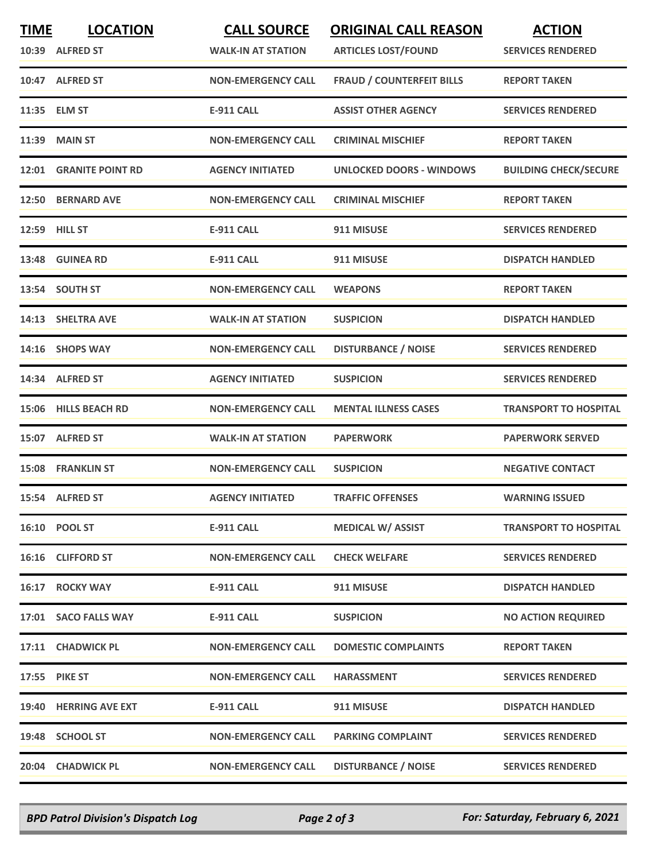| <b>TIME</b> | <b>LOCATION</b><br>10:39 ALFRED ST | <b>CALL SOURCE</b><br><b>WALK-IN AT STATION</b> | <b>ORIGINAL CALL REASON</b><br><b>ARTICLES LOST/FOUND</b> | <b>ACTION</b><br><b>SERVICES RENDERED</b> |
|-------------|------------------------------------|-------------------------------------------------|-----------------------------------------------------------|-------------------------------------------|
|             | 10:47 ALFRED ST                    | <b>NON-EMERGENCY CALL</b>                       | <b>FRAUD / COUNTERFEIT BILLS</b>                          | <b>REPORT TAKEN</b>                       |
|             | 11:35 ELM ST                       | <b>E-911 CALL</b>                               | <b>ASSIST OTHER AGENCY</b>                                | <b>SERVICES RENDERED</b>                  |
|             | <b>11:39 MAIN ST</b>               | <b>NON-EMERGENCY CALL</b>                       | <b>CRIMINAL MISCHIEF</b>                                  | <b>REPORT TAKEN</b>                       |
|             | 12:01 GRANITE POINT RD             | <b>AGENCY INITIATED</b>                         | <b>UNLOCKED DOORS - WINDOWS</b>                           | <b>BUILDING CHECK/SECURE</b>              |
|             | 12:50 BERNARD AVE                  | <b>NON-EMERGENCY CALL</b>                       | <b>CRIMINAL MISCHIEF</b>                                  | <b>REPORT TAKEN</b>                       |
|             | 12:59 HILL ST                      | <b>E-911 CALL</b>                               | 911 MISUSE                                                | <b>SERVICES RENDERED</b>                  |
|             | 13:48 GUINEA RD                    | <b>E-911 CALL</b>                               | 911 MISUSE                                                | <b>DISPATCH HANDLED</b>                   |
|             | 13:54 SOUTH ST                     | <b>NON-EMERGENCY CALL</b>                       | <b>WEAPONS</b>                                            | <b>REPORT TAKEN</b>                       |
|             | 14:13 SHELTRA AVE                  | <b>WALK-IN AT STATION</b>                       | <b>SUSPICION</b>                                          | <b>DISPATCH HANDLED</b>                   |
|             | 14:16 SHOPS WAY                    | <b>NON-EMERGENCY CALL</b>                       | <b>DISTURBANCE / NOISE</b>                                | <b>SERVICES RENDERED</b>                  |
|             | 14:34 ALFRED ST                    | <b>AGENCY INITIATED</b>                         | <b>SUSPICION</b>                                          | <b>SERVICES RENDERED</b>                  |
|             | 15:06 HILLS BEACH RD               | <b>NON-EMERGENCY CALL</b>                       | <b>MENTAL ILLNESS CASES</b>                               | <b>TRANSPORT TO HOSPITAL</b>              |
|             | 15:07 ALFRED ST                    | <b>WALK-IN AT STATION</b>                       | <b>PAPERWORK</b>                                          | <b>PAPERWORK SERVED</b>                   |
|             | <b>15:08 FRANKLIN ST</b>           | <b>NON-EMERGENCY CALL</b>                       | <b>SUSPICION</b>                                          | <b>NEGATIVE CONTACT</b>                   |
|             | 15:54 ALFRED ST                    | <b>AGENCY INITIATED</b>                         | <b>TRAFFIC OFFENSES</b>                                   | <b>WARNING ISSUED</b>                     |
|             | 16:10 POOL ST                      | <b>E-911 CALL</b>                               | <b>MEDICAL W/ ASSIST</b>                                  | <b>TRANSPORT TO HOSPITAL</b>              |
|             | 16:16 CLIFFORD ST                  | <b>NON-EMERGENCY CALL</b>                       | <b>CHECK WELFARE</b>                                      | <b>SERVICES RENDERED</b>                  |
|             | 16:17 ROCKY WAY                    | <b>E-911 CALL</b>                               | 911 MISUSE                                                | <b>DISPATCH HANDLED</b>                   |
|             | 17:01 SACO FALLS WAY               | <b>E-911 CALL</b>                               | <b>SUSPICION</b>                                          | <b>NO ACTION REQUIRED</b>                 |
|             | 17:11 CHADWICK PL                  | <b>NON-EMERGENCY CALL</b>                       | <b>DOMESTIC COMPLAINTS</b>                                | <b>REPORT TAKEN</b>                       |
|             | <b>17:55 PIKE ST</b>               | <b>NON-EMERGENCY CALL</b>                       | <b>HARASSMENT</b>                                         | <b>SERVICES RENDERED</b>                  |
|             | 19:40 HERRING AVE EXT              | <b>E-911 CALL</b>                               | 911 MISUSE                                                | <b>DISPATCH HANDLED</b>                   |
|             | 19:48 SCHOOL ST                    | <b>NON-EMERGENCY CALL</b>                       | <b>PARKING COMPLAINT</b>                                  | <b>SERVICES RENDERED</b>                  |
|             | 20:04 CHADWICK PL                  | <b>NON-EMERGENCY CALL</b>                       | <b>DISTURBANCE / NOISE</b>                                | <b>SERVICES RENDERED</b>                  |

*BPD Patrol Division's Dispatch Log Page 2 of 3 For: Saturday, February 6, 2021*